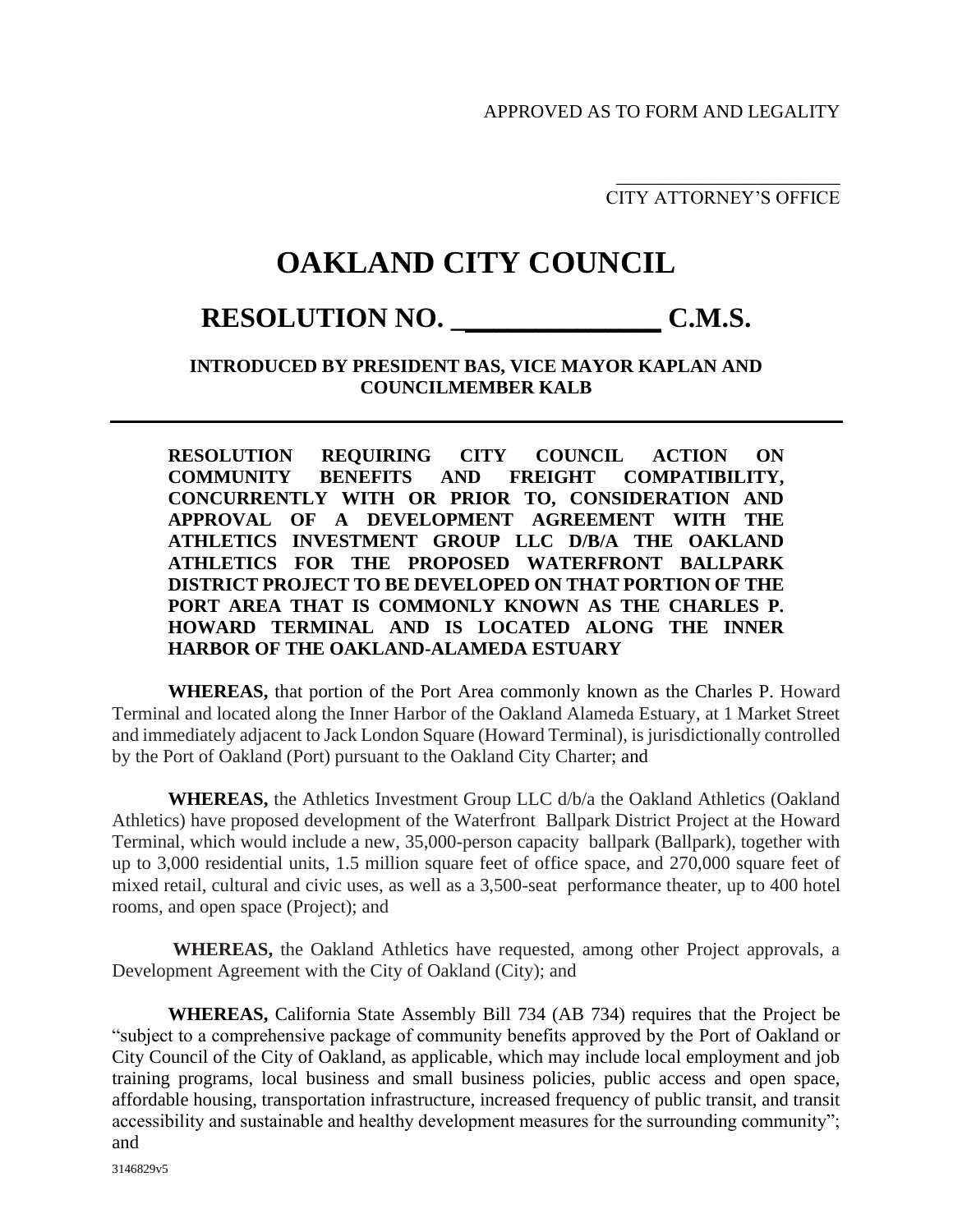APPROVED AS TO FORM AND LEGALITY

\_\_\_\_\_\_\_\_\_\_\_\_\_\_\_\_\_\_\_\_\_\_\_\_ CITY ATTORNEY'S OFFICE

## **OAKLAND CITY COUNCIL**

## **RESOLUTION NO. \_\_\_\_\_\_\_\_\_\_\_\_\_\_\_ C.M.S.**

## **INTRODUCED BY PRESIDENT BAS, VICE MAYOR KAPLAN AND COUNCILMEMBER KALB**

**RESOLUTION REQUIRING CITY COUNCIL ACTION ON COMMUNITY BENEFITS AND FREIGHT COMPATIBILITY, CONCURRENTLY WITH OR PRIOR TO, CONSIDERATION AND APPROVAL OF A DEVELOPMENT AGREEMENT WITH THE ATHLETICS INVESTMENT GROUP LLC D/B/A THE OAKLAND ATHLETICS FOR THE PROPOSED WATERFRONT BALLPARK DISTRICT PROJECT TO BE DEVELOPED ON THAT PORTION OF THE PORT AREA THAT IS COMMONLY KNOWN AS THE CHARLES P. HOWARD TERMINAL AND IS LOCATED ALONG THE INNER HARBOR OF THE OAKLAND-ALAMEDA ESTUARY**

**WHEREAS,** that portion of the Port Area commonly known as the Charles P. Howard Terminal and located along the Inner Harbor of the Oakland Alameda Estuary, at 1 Market Street and immediately adjacent to Jack London Square (Howard Terminal), is jurisdictionally controlled by the Port of Oakland (Port) pursuant to the Oakland City Charter; and

**WHEREAS,** the Athletics Investment Group LLC d/b/a the Oakland Athletics (Oakland Athletics) have proposed development of the Waterfront Ballpark District Project at the Howard Terminal, which would include a new, 35,000-person capacity ballpark (Ballpark), together with up to 3,000 residential units, 1.5 million square feet of office space, and 270,000 square feet of mixed retail, cultural and civic uses, as well as a 3,500-seat performance theater, up to 400 hotel rooms, and open space (Project); and

**WHEREAS,** the Oakland Athletics have requested, among other Project approvals, a Development Agreement with the City of Oakland (City); and

**WHEREAS,** California State Assembly Bill 734 (AB 734) requires that the Project be "subject to a comprehensive package of community benefits approved by the Port of Oakland or City Council of the City of Oakland, as applicable, which may include local employment and job training programs, local business and small business policies, public access and open space, affordable housing, transportation infrastructure, increased frequency of public transit, and transit accessibility and sustainable and healthy development measures for the surrounding community"; and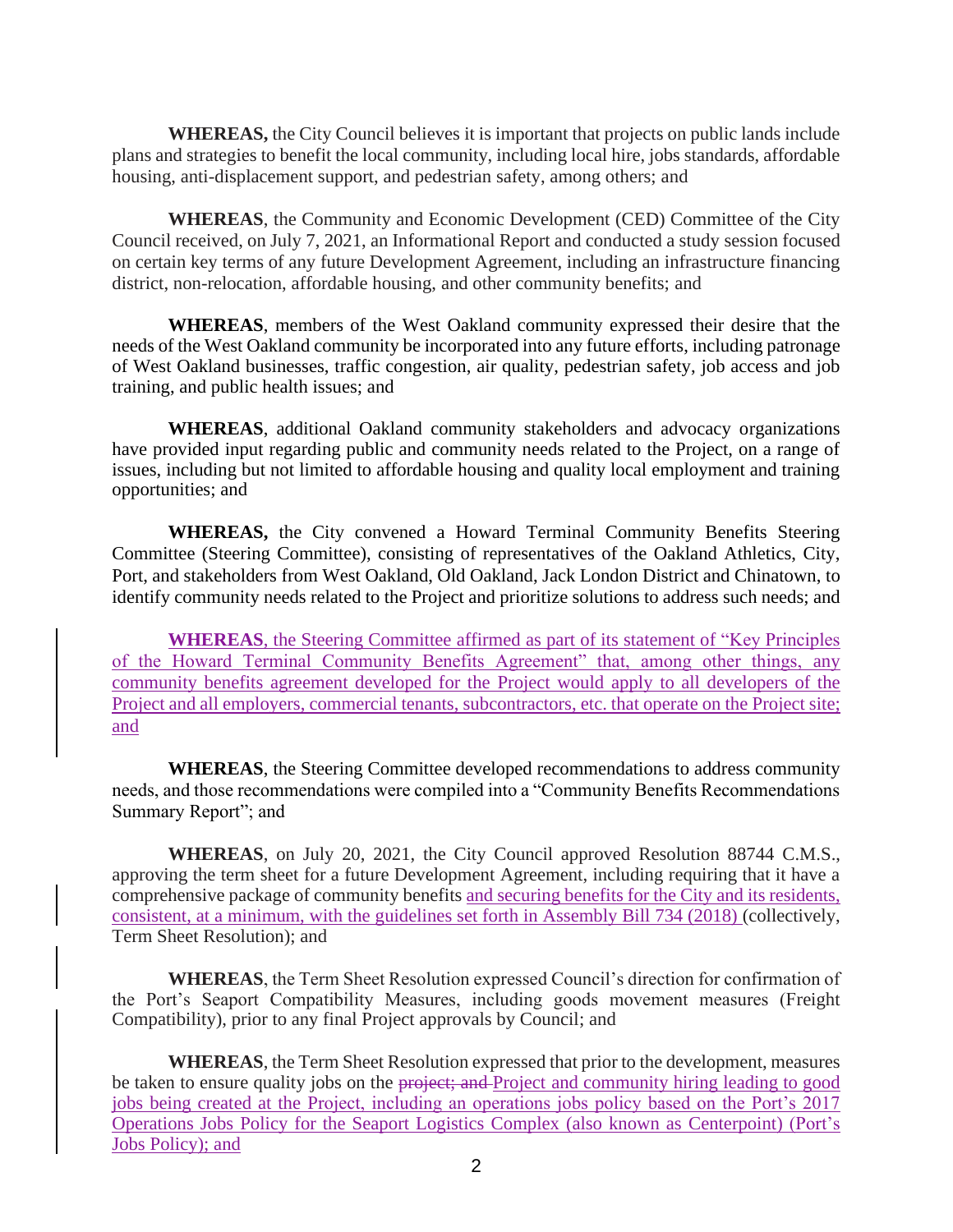**WHEREAS,** the City Council believes it is important that projects on public lands include plans and strategies to benefit the local community, including local hire, jobs standards, affordable housing, anti-displacement support, and pedestrian safety, among others; and

**WHEREAS**, the Community and Economic Development (CED) Committee of the City Council received, on July 7, 2021, an Informational Report and conducted a study session focused on certain key terms of any future Development Agreement, including an infrastructure financing district, non-relocation, affordable housing, and other community benefits; and

**WHEREAS**, members of the West Oakland community expressed their desire that the needs of the West Oakland community be incorporated into any future efforts, including patronage of West Oakland businesses, traffic congestion, air quality, pedestrian safety, job access and job training, and public health issues; and

**WHEREAS**, additional Oakland community stakeholders and advocacy organizations have provided input regarding public and community needs related to the Project, on a range of issues, including but not limited to affordable housing and quality local employment and training opportunities; and

**WHEREAS,** the City convened a Howard Terminal Community Benefits Steering Committee (Steering Committee), consisting of representatives of the Oakland Athletics, City, Port, and stakeholders from West Oakland, Old Oakland, Jack London District and Chinatown, to identify community needs related to the Project and prioritize solutions to address such needs; and

**WHEREAS**, the Steering Committee affirmed as part of its statement of "Key Principles of the Howard Terminal Community Benefits Agreement" that, among other things, any community benefits agreement developed for the Project would apply to all developers of the Project and all employers, commercial tenants, subcontractors, etc. that operate on the Project site; and

**WHEREAS**, the Steering Committee developed recommendations to address community needs, and those recommendations were compiled into a "Community Benefits Recommendations Summary Report"; and

**WHEREAS**, on July 20, 2021, the City Council approved Resolution 88744 C.M.S., approving the term sheet for a future Development Agreement, including requiring that it have a comprehensive package of community benefits and securing benefits for the City and its residents, consistent, at a minimum, with the guidelines set forth in Assembly Bill 734 (2018) (collectively, Term Sheet Resolution); and

**WHEREAS**, the Term Sheet Resolution expressed Council's direction for confirmation of the Port's Seaport Compatibility Measures, including goods movement measures (Freight Compatibility), prior to any final Project approvals by Council; and

**WHEREAS**, the Term Sheet Resolution expressed that prior to the development, measures be taken to ensure quality jobs on the project; and Project and community hiring leading to good jobs being created at the Project, including an operations jobs policy based on the Port's 2017 Operations Jobs Policy for the Seaport Logistics Complex (also known as Centerpoint) (Port's Jobs Policy); and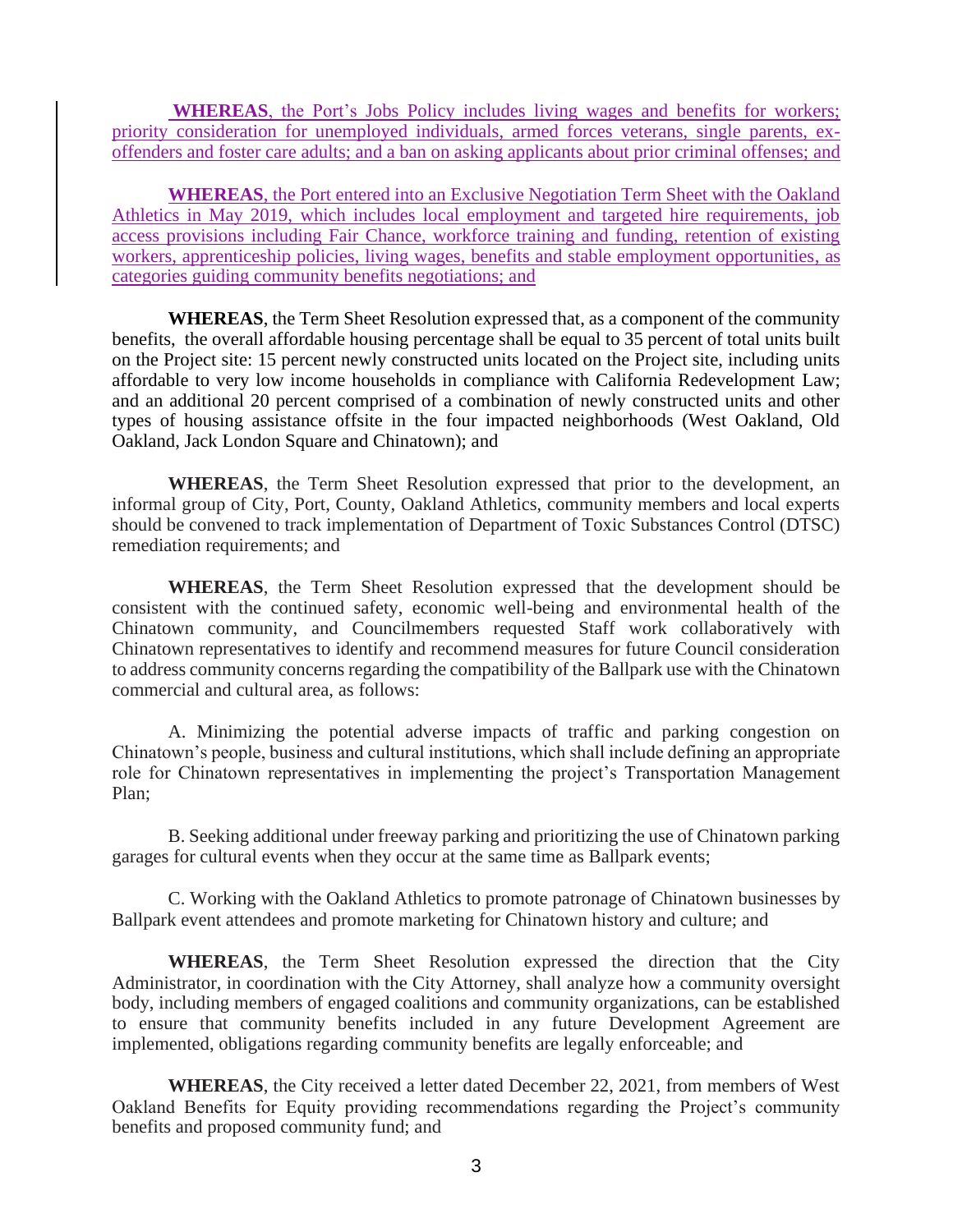**WHEREAS**, the Port's Jobs Policy includes living wages and benefits for workers; priority consideration for unemployed individuals, armed forces veterans, single parents, exoffenders and foster care adults; and a ban on asking applicants about prior criminal offenses; and

**WHEREAS**, the Port entered into an Exclusive Negotiation Term Sheet with the Oakland Athletics in May 2019, which includes local employment and targeted hire requirements, job access provisions including Fair Chance, workforce training and funding, retention of existing workers, apprenticeship policies, living wages, benefits and stable employment opportunities, as categories guiding community benefits negotiations; and

**WHEREAS**, the Term Sheet Resolution expressed that, as a component of the community benefits, the overall affordable housing percentage shall be equal to 35 percent of total units built on the Project site: 15 percent newly constructed units located on the Project site, including units affordable to very low income households in compliance with California Redevelopment Law; and an additional 20 percent comprised of a combination of newly constructed units and other types of housing assistance offsite in the four impacted neighborhoods (West Oakland, Old Oakland, Jack London Square and Chinatown); and

**WHEREAS**, the Term Sheet Resolution expressed that prior to the development, an informal group of City, Port, County, Oakland Athletics, community members and local experts should be convened to track implementation of Department of Toxic Substances Control (DTSC) remediation requirements; and

**WHEREAS**, the Term Sheet Resolution expressed that the development should be consistent with the continued safety, economic well-being and environmental health of the Chinatown community, and Councilmembers requested Staff work collaboratively with Chinatown representatives to identify and recommend measures for future Council consideration to address community concerns regarding the compatibility of the Ballpark use with the Chinatown commercial and cultural area, as follows:

A. Minimizing the potential adverse impacts of traffic and parking congestion on Chinatown's people, business and cultural institutions, which shall include defining an appropriate role for Chinatown representatives in implementing the project's Transportation Management Plan;

B. Seeking additional under freeway parking and prioritizing the use of Chinatown parking garages for cultural events when they occur at the same time as Ballpark events;

C. Working with the Oakland Athletics to promote patronage of Chinatown businesses by Ballpark event attendees and promote marketing for Chinatown history and culture; and

**WHEREAS**, the Term Sheet Resolution expressed the direction that the City Administrator, in coordination with the City Attorney, shall analyze how a community oversight body, including members of engaged coalitions and community organizations, can be established to ensure that community benefits included in any future Development Agreement are implemented, obligations regarding community benefits are legally enforceable; and

**WHEREAS**, the City received a letter dated December 22, 2021, from members of West Oakland Benefits for Equity providing recommendations regarding the Project's community benefits and proposed community fund; and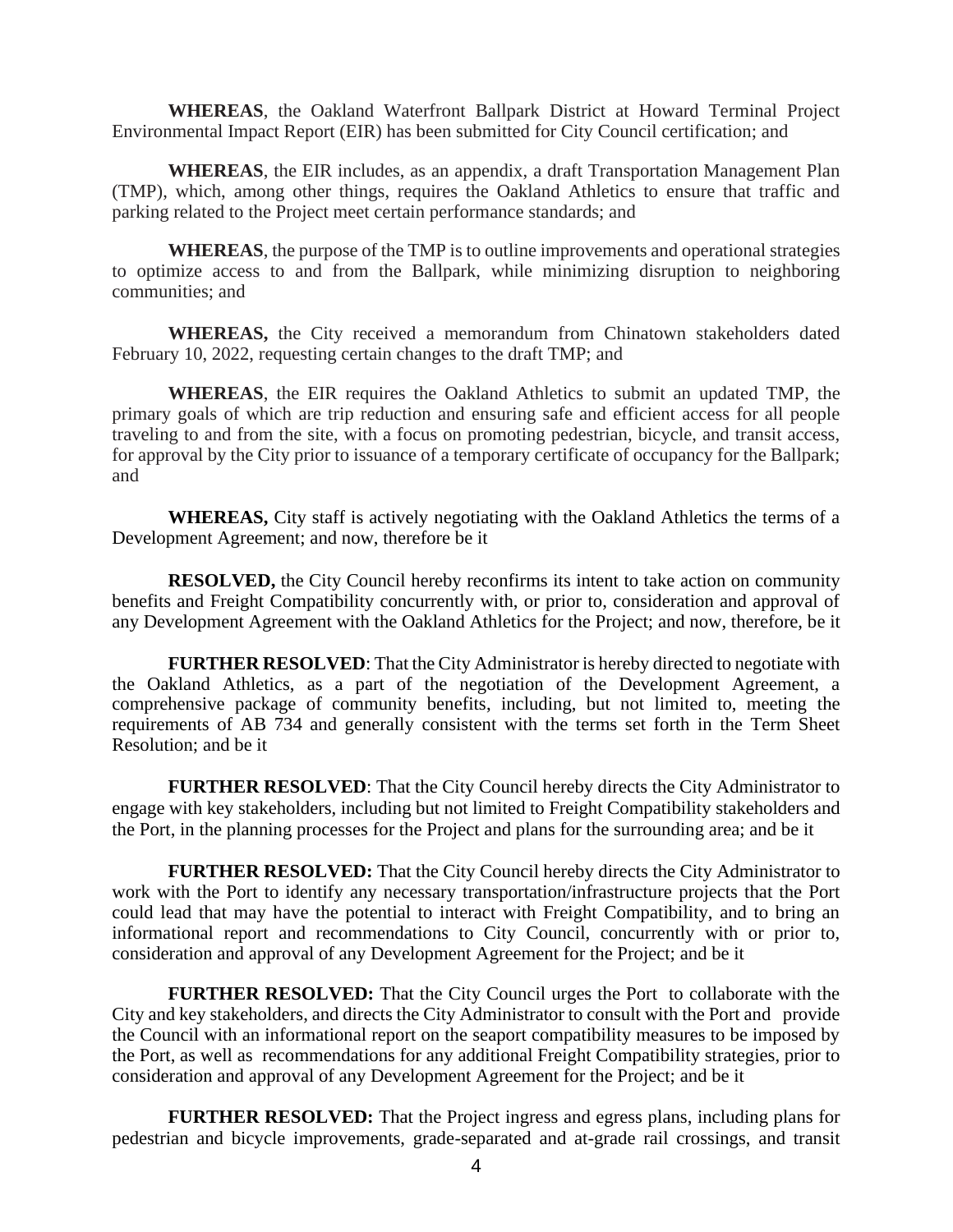**WHEREAS**, the Oakland Waterfront Ballpark District at Howard Terminal Project Environmental Impact Report (EIR) has been submitted for City Council certification; and

**WHEREAS**, the EIR includes, as an appendix, a draft Transportation Management Plan (TMP), which, among other things, requires the Oakland Athletics to ensure that traffic and parking related to the Project meet certain performance standards; and

**WHEREAS**, the purpose of the TMP is to outline improvements and operational strategies to optimize access to and from the Ballpark, while minimizing disruption to neighboring communities; and

**WHEREAS,** the City received a memorandum from Chinatown stakeholders dated February 10, 2022, requesting certain changes to the draft TMP; and

**WHEREAS**, the EIR requires the Oakland Athletics to submit an updated TMP, the primary goals of which are trip reduction and ensuring safe and efficient access for all people traveling to and from the site, with a focus on promoting pedestrian, bicycle, and transit access, for approval by the City prior to issuance of a temporary certificate of occupancy for the Ballpark; and

**WHEREAS,** City staff is actively negotiating with the Oakland Athletics the terms of a Development Agreement; and now, therefore be it

**RESOLVED,** the City Council hereby reconfirms its intent to take action on community benefits and Freight Compatibility concurrently with, or prior to, consideration and approval of any Development Agreement with the Oakland Athletics for the Project; and now, therefore, be it

**FURTHER RESOLVED**: That the City Administrator is hereby directed to negotiate with the Oakland Athletics, as a part of the negotiation of the Development Agreement, a comprehensive package of community benefits, including, but not limited to, meeting the requirements of AB 734 and generally consistent with the terms set forth in the Term Sheet Resolution; and be it

**FURTHER RESOLVED**: That the City Council hereby directs the City Administrator to engage with key stakeholders, including but not limited to Freight Compatibility stakeholders and the Port, in the planning processes for the Project and plans for the surrounding area; and be it

**FURTHER RESOLVED:** That the City Council hereby directs the City Administrator to work with the Port to identify any necessary transportation/infrastructure projects that the Port could lead that may have the potential to interact with Freight Compatibility, and to bring an informational report and recommendations to City Council, concurrently with or prior to, consideration and approval of any Development Agreement for the Project; and be it

**FURTHER RESOLVED:** That the City Council urges the Port to collaborate with the City and key stakeholders, and directs the City Administrator to consult with the Port and provide the Council with an informational report on the seaport compatibility measures to be imposed by the Port, as well as recommendations for any additional Freight Compatibility strategies, prior to consideration and approval of any Development Agreement for the Project; and be it

**FURTHER RESOLVED:** That the Project ingress and egress plans, including plans for pedestrian and bicycle improvements, grade-separated and at-grade rail crossings, and transit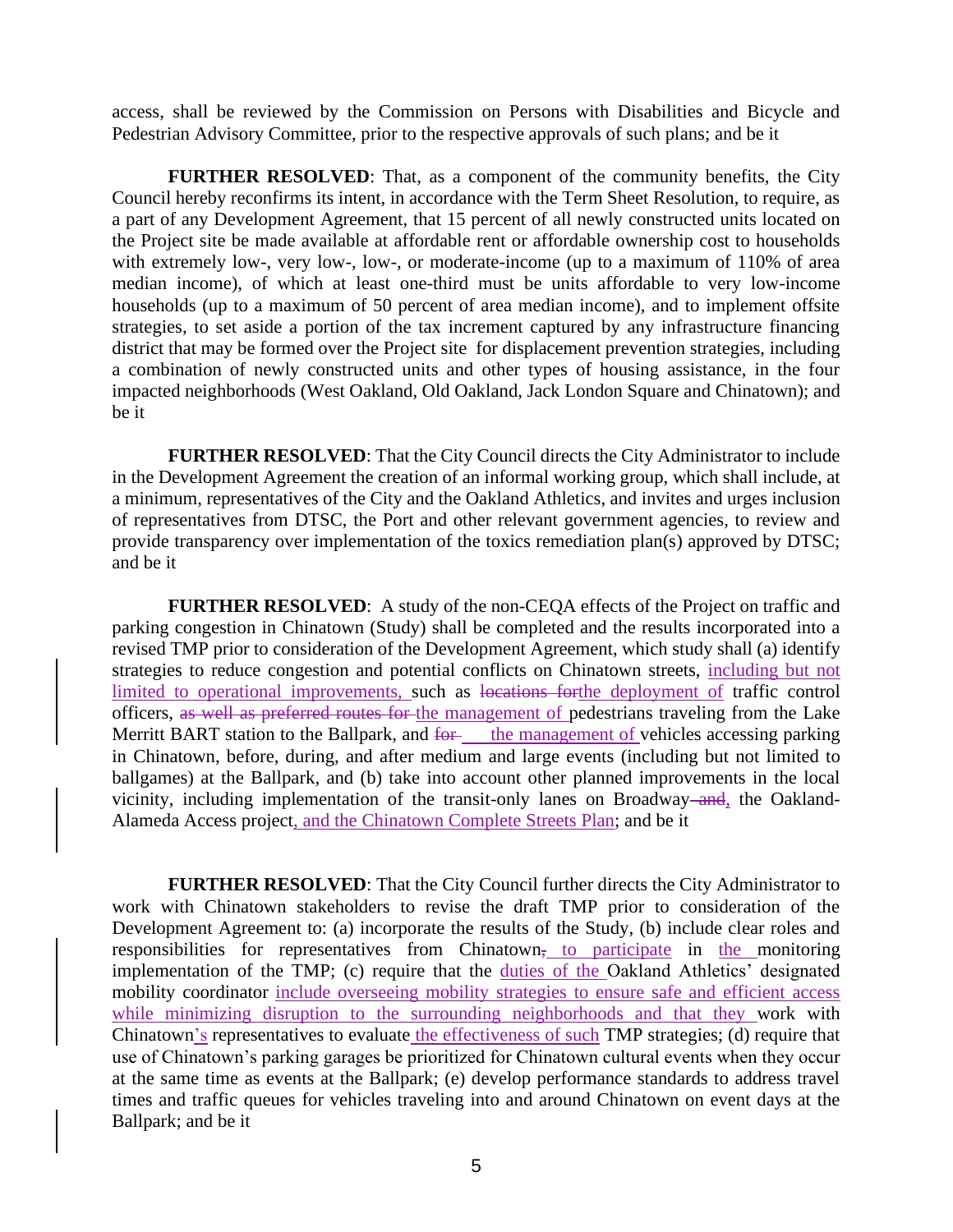access, shall be reviewed by the Commission on Persons with Disabilities and Bicycle and Pedestrian Advisory Committee, prior to the respective approvals of such plans; and be it

**FURTHER RESOLVED**: That, as a component of the community benefits, the City Council hereby reconfirms its intent, in accordance with the Term Sheet Resolution, to require, as a part of any Development Agreement, that 15 percent of all newly constructed units located on the Project site be made available at affordable rent or affordable ownership cost to households with extremely low-, very low-, low-, or moderate-income (up to a maximum of 110% of area median income), of which at least one-third must be units affordable to very low-income households (up to a maximum of 50 percent of area median income), and to implement offsite strategies, to set aside a portion of the tax increment captured by any infrastructure financing district that may be formed over the Project site for displacement prevention strategies, including a combination of newly constructed units and other types of housing assistance, in the four impacted neighborhoods (West Oakland, Old Oakland, Jack London Square and Chinatown); and be it

**FURTHER RESOLVED**: That the City Council directs the City Administrator to include in the Development Agreement the creation of an informal working group, which shall include, at a minimum, representatives of the City and the Oakland Athletics, and invites and urges inclusion of representatives from DTSC, the Port and other relevant government agencies, to review and provide transparency over implementation of the toxics remediation plan(s) approved by DTSC; and be it

**FURTHER RESOLVED**: A study of the non-CEQA effects of the Project on traffic and parking congestion in Chinatown (Study) shall be completed and the results incorporated into a revised TMP prior to consideration of the Development Agreement, which study shall (a) identify strategies to reduce congestion and potential conflicts on Chinatown streets, including but not limited to operational improvements, such as locations forthe deployment of traffic control officers, as well as preferred routes for the management of pedestrians traveling from the Lake Merritt BART station to the Ballpark, and for the management of vehicles accessing parking in Chinatown, before, during, and after medium and large events (including but not limited to ballgames) at the Ballpark, and (b) take into account other planned improvements in the local vicinity, including implementation of the transit-only lanes on Broadway–and, the Oakland-Alameda Access project, and the Chinatown Complete Streets Plan; and be it

**FURTHER RESOLVED**: That the City Council further directs the City Administrator to work with Chinatown stakeholders to revise the draft TMP prior to consideration of the Development Agreement to: (a) incorporate the results of the Study, (b) include clear roles and responsibilities for representatives from Chinatown<sub>5</sub> to participate in the monitoring implementation of the TMP; (c) require that the duties of the Oakland Athletics' designated mobility coordinator include overseeing mobility strategies to ensure safe and efficient access while minimizing disruption to the surrounding neighborhoods and that they work with Chinatown's representatives to evaluate the effectiveness of such TMP strategies; (d) require that use of Chinatown's parking garages be prioritized for Chinatown cultural events when they occur at the same time as events at the Ballpark; (e) develop performance standards to address travel times and traffic queues for vehicles traveling into and around Chinatown on event days at the Ballpark; and be it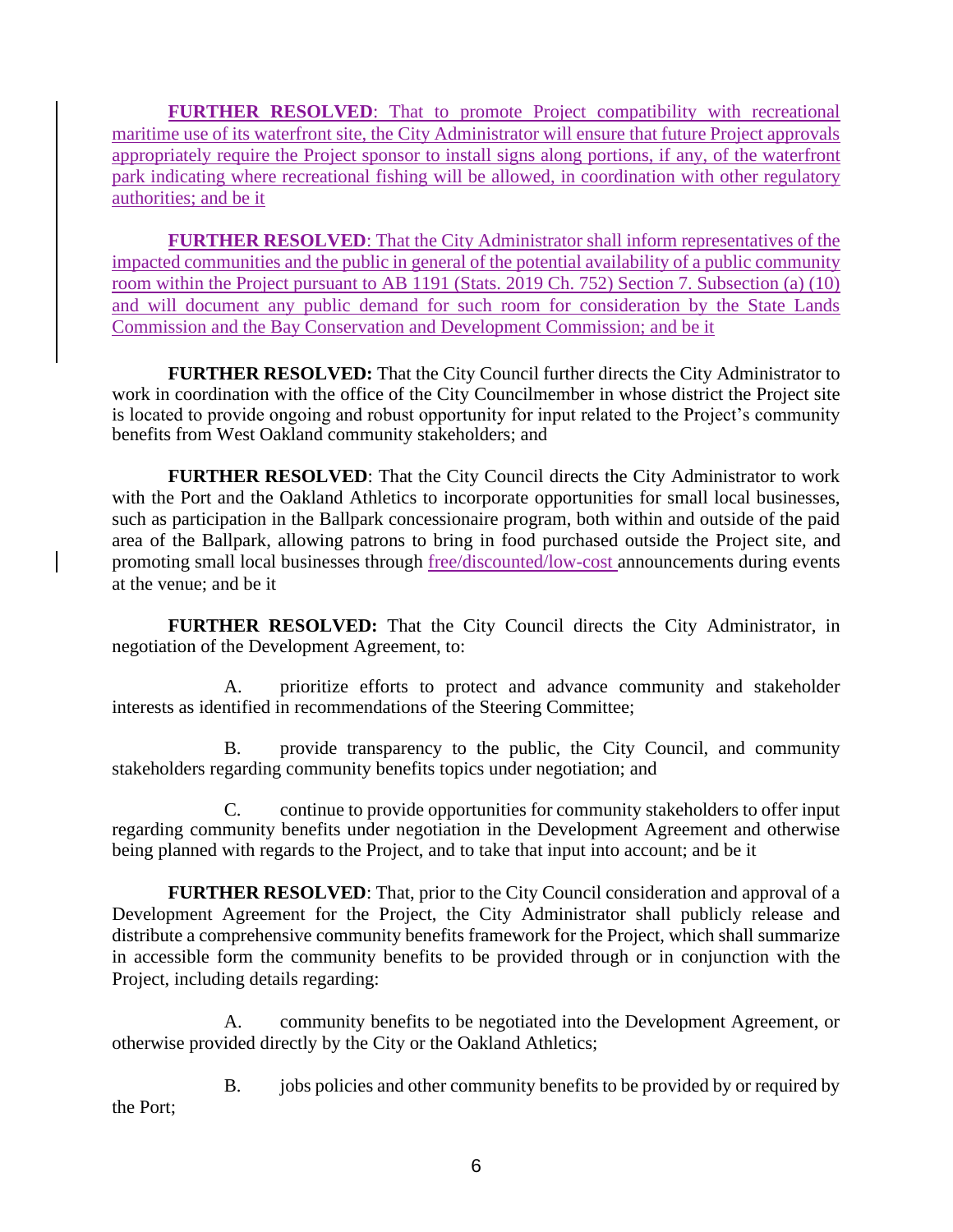**FURTHER RESOLVED:** That to promote Project compatibility with recreational maritime use of its waterfront site, the City Administrator will ensure that future Project approvals appropriately require the Project sponsor to install signs along portions, if any, of the waterfront park indicating where recreational fishing will be allowed, in coordination with other regulatory authorities; and be it

**FURTHER RESOLVED**: That the City Administrator shall inform representatives of the impacted communities and the public in general of the potential availability of a public community room within the Project pursuant to AB 1191 (Stats. 2019 Ch. 752) Section 7. Subsection (a) (10) and will document any public demand for such room for consideration by the State Lands Commission and the Bay Conservation and Development Commission; and be it

**FURTHER RESOLVED:** That the City Council further directs the City Administrator to work in coordination with the office of the City Councilmember in whose district the Project site is located to provide ongoing and robust opportunity for input related to the Project's community benefits from West Oakland community stakeholders; and

**FURTHER RESOLVED**: That the City Council directs the City Administrator to work with the Port and the Oakland Athletics to incorporate opportunities for small local businesses, such as participation in the Ballpark concessionaire program, both within and outside of the paid area of the Ballpark, allowing patrons to bring in food purchased outside the Project site, and promoting small local businesses through free/discounted/low-cost announcements during events at the venue; and be it

**FURTHER RESOLVED:** That the City Council directs the City Administrator, in negotiation of the Development Agreement, to:

A. prioritize efforts to protect and advance community and stakeholder interests as identified in recommendations of the Steering Committee;

B. provide transparency to the public, the City Council, and community stakeholders regarding community benefits topics under negotiation; and

C. continue to provide opportunities for community stakeholders to offer input regarding community benefits under negotiation in the Development Agreement and otherwise being planned with regards to the Project, and to take that input into account; and be it

**FURTHER RESOLVED**: That, prior to the City Council consideration and approval of a Development Agreement for the Project, the City Administrator shall publicly release and distribute a comprehensive community benefits framework for the Project, which shall summarize in accessible form the community benefits to be provided through or in conjunction with the Project, including details regarding:

A. community benefits to be negotiated into the Development Agreement, or otherwise provided directly by the City or the Oakland Athletics;

B. jobs policies and other community benefits to be provided by or required by the Port;